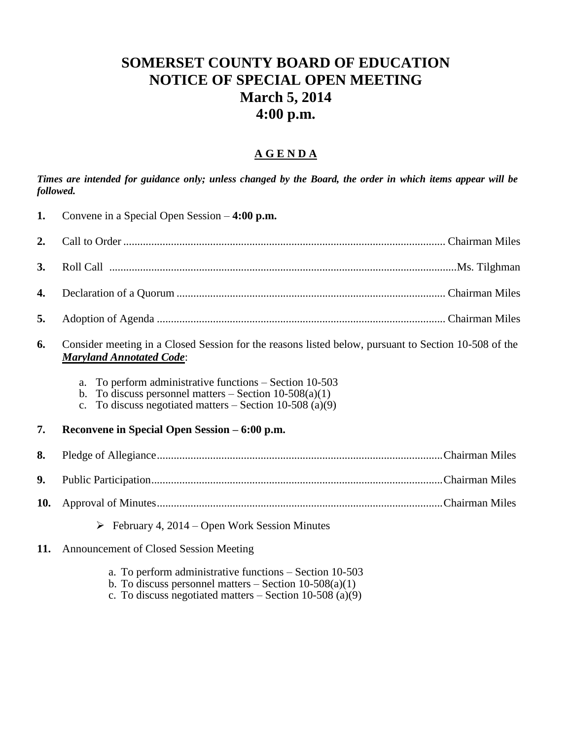## **SOMERSET COUNTY BOARD OF EDUCATION NOTICE OF SPECIAL OPEN MEETING March 5, 2014 4:00 p.m.**

## **A G E N D A**

*Times are intended for guidance only; unless changed by the Board, the order in which items appear will be followed.*

| 1.  | Convene in a Special Open Session $-4:00$ p.m.                                                                                                                                                                |
|-----|---------------------------------------------------------------------------------------------------------------------------------------------------------------------------------------------------------------|
| 2.  |                                                                                                                                                                                                               |
| 3.  |                                                                                                                                                                                                               |
| 4.  |                                                                                                                                                                                                               |
| 5.  |                                                                                                                                                                                                               |
| 6.  | Consider meeting in a Closed Session for the reasons listed below, pursuant to Section 10-508 of the<br><b>Maryland Annotated Code:</b>                                                                       |
|     | To perform administrative functions $-$ Section 10-503<br>a.<br>To discuss personnel matters – Section $10-508(a)(1)$<br>$b_{1}$<br>To discuss negotiated matters $-$ Section 10-508 (a)(9)<br>$\mathbf{c}$ . |
| 7.  | Reconvene in Special Open Session – 6:00 p.m.                                                                                                                                                                 |
| 8.  |                                                                                                                                                                                                               |
| 9.  |                                                                                                                                                                                                               |
| 10. |                                                                                                                                                                                                               |
|     | $\triangleright$ February 4, 2014 – Open Work Session Minutes                                                                                                                                                 |
| 11. | <b>Announcement of Closed Session Meeting</b>                                                                                                                                                                 |
|     | a. To perform administrative functions – Section 10-503<br>b. To discuss personnel matters $-$ Section 10-508(a)(1)<br>c. To discuss negotiated matters $-$ Section 10-508 (a)(9)                             |